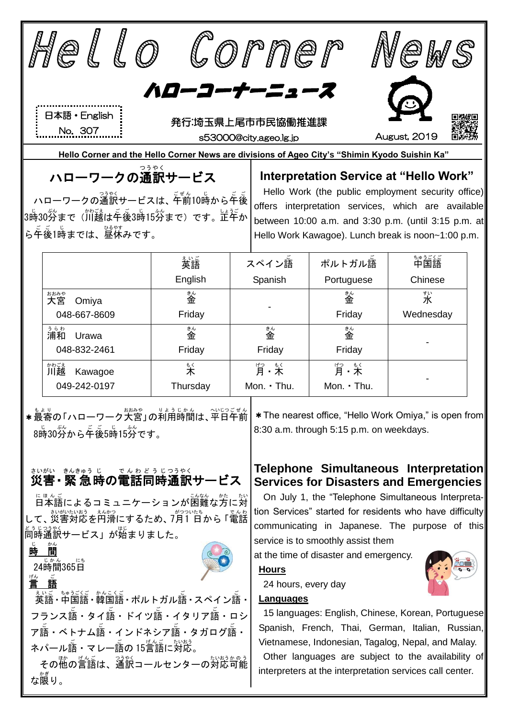|                                                                                                                                                      | ello                                                                                          |                                            |  | Corner                                                                                                         |                                                                                        | eW.           |  |  |  |
|------------------------------------------------------------------------------------------------------------------------------------------------------|-----------------------------------------------------------------------------------------------|--------------------------------------------|--|----------------------------------------------------------------------------------------------------------------|----------------------------------------------------------------------------------------|---------------|--|--|--|
| ハローコーナーニュース                                                                                                                                          |                                                                                               |                                            |  |                                                                                                                |                                                                                        |               |  |  |  |
|                                                                                                                                                      |                                                                                               |                                            |  |                                                                                                                |                                                                                        |               |  |  |  |
|                                                                                                                                                      | 日本語 · English                                                                                 | 発行:埼玉県上尾市市民協働推進課                           |  |                                                                                                                |                                                                                        |               |  |  |  |
| No. 307<br>s53000@city.ageo.lg.jp                                                                                                                    |                                                                                               |                                            |  |                                                                                                                | August, 2019                                                                           |               |  |  |  |
|                                                                                                                                                      | Hello Corner and the Hello Corner News are divisions of Ageo City's "Shimin Kyodo Suishin Ka" |                                            |  |                                                                                                                |                                                                                        |               |  |  |  |
| つうやく<br>ハローワークの通訳サービス                                                                                                                                |                                                                                               |                                            |  | Interpretation Service at "Hello Work"                                                                         |                                                                                        |               |  |  |  |
| ハローワークの通訳サービスは、平前10時から年後                                                                                                                             |                                                                                               |                                            |  | Hello Work (the public employment security office)                                                             |                                                                                        |               |  |  |  |
|                                                                                                                                                      | <br> 3時30労まで(川越は午後3時15労まで)です。正午か                                                              |                                            |  | offers interpretation services, which are available                                                            |                                                                                        |               |  |  |  |
|                                                                                                                                                      | ら年後1時までは、 <sup>348</sup> 7<br>ら午後1時までは、昼休みです。                                                 |                                            |  | between 10:00 a.m. and 3:30 p.m. (until 3:15 p.m. at<br>Hello Work Kawagoe). Lunch break is noon~1:00 p.m.     |                                                                                        |               |  |  |  |
|                                                                                                                                                      |                                                                                               |                                            |  |                                                                                                                |                                                                                        |               |  |  |  |
|                                                                                                                                                      |                                                                                               | ぇぃご<br>英語                                  |  | スペイン語                                                                                                          | ポルトガル語                                                                                 | ちゅうごくご<br>中国語 |  |  |  |
|                                                                                                                                                      |                                                                                               | English                                    |  | Spanish                                                                                                        | Portuguese                                                                             | Chinese       |  |  |  |
|                                                                                                                                                      | おおみや<br>Omiya                                                                                 | 診金                                         |  |                                                                                                                | 診金                                                                                     | すい<br>水       |  |  |  |
|                                                                                                                                                      | 048-667-8609                                                                                  | Friday                                     |  |                                                                                                                | Friday                                                                                 | Wednesday     |  |  |  |
|                                                                                                                                                      | ぅらゎ<br>浦和<br>Urawa                                                                            | 釜                                          |  | 釜                                                                                                              | 釜                                                                                      |               |  |  |  |
|                                                                                                                                                      | 048-832-2461                                                                                  | Friday                                     |  | Friday                                                                                                         | Friday                                                                                 |               |  |  |  |
|                                                                                                                                                      | ゕゎごぇ<br>川越<br>Kawagoe                                                                         | $\overset{\scriptscriptstyle\rm t}{\star}$ |  | げっ もく                                                                                                          | サっ もく<br>月・木                                                                           |               |  |  |  |
|                                                                                                                                                      | 049-242-0197                                                                                  | Thursday                                   |  | Mon. . Thu.                                                                                                    | Mon. · Thu.                                                                            |               |  |  |  |
| ★最寄の「ハローワーク大宮」の利用時間は、平日午前<br>* The nearest office, "Hello Work Omiya," is open from<br>8:30 a.m. through 5:15 p.m. on weekdays.<br>8時30労から年後5時15労です。 |                                                                                               |                                            |  |                                                                                                                |                                                                                        |               |  |  |  |
|                                                                                                                                                      | さいがい きんきゅうじ<br>災害 • 緊 急 時の電話同時通訳サービス                                                          | でんわどうじつうやく                                 |  |                                                                                                                | Telephone Simultaneous Interpretation<br><b>Services for Disasters and Emergencies</b> |               |  |  |  |
| <sub>にほんこ</sub><br>日本語によるコミュニケーションが困難                                                                                                                |                                                                                               |                                            |  | On July 1, the "Telephone Simultaneous Interpreta-<br>tion Services" started for residents who have difficulty |                                                                                        |               |  |  |  |
| て、災害対応を円滑にするため、7月1 日から 「電話                                                                                                                           |                                                                                               |                                            |  | communicating in Japanese. The purpose of this                                                                 |                                                                                        |               |  |  |  |
| 同時通訳サービス」が始まりました。                                                                                                                                    |                                                                                               |                                            |  | service is to smoothly assist them                                                                             |                                                                                        |               |  |  |  |
| 間<br>時                                                                                                                                               |                                                                                               |                                            |  | at the time of disaster and emergency.<br><b>Hours</b>                                                         |                                                                                        |               |  |  |  |
| <sub>ヴ</sub> 。こ<br><u>言 語</u>                                                                                                                        |                                                                                               |                                            |  | 24 hours, every day                                                                                            |                                                                                        |               |  |  |  |
|                                                                                                                                                      |                                                                                               |                                            |  | Languages                                                                                                      |                                                                                        |               |  |  |  |
| フランス語・タイ語・ドイツ語・イタリア語・ロシ                                                                                                                              |                                                                                               |                                            |  | 15 languages: English, Chinese, Korean, Portuguese                                                             |                                                                                        |               |  |  |  |
| ア語・ベトナム語・インドネシア語・タガログ語・                                                                                                                              |                                                                                               |                                            |  | Spanish, French, Thai, German, Italian, Russian,                                                               |                                                                                        |               |  |  |  |
| ネパール語・マレー語の 15言語に対応。                                                                                                                                 |                                                                                               |                                            |  | Vietnamese, Indonesian, Tagalog, Nepal, and Malay.                                                             |                                                                                        |               |  |  |  |

その他の言語は、通訳コールセンターの対応可能 な限 かぎ り。

Other languages are subject to the availability of interpreters at the interpretation services call center.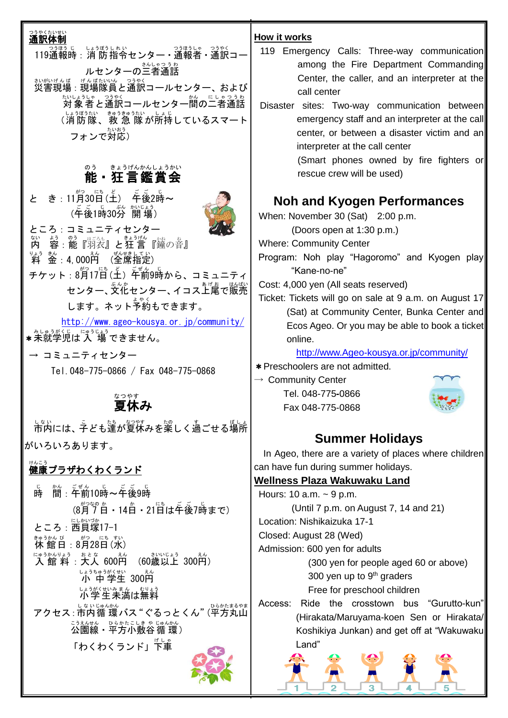| つうやくたいせい<br>通訳体制                                                                       | <b>How it works</b>                            |
|----------------------------------------------------------------------------------------|------------------------------------------------|
| —— <sub>○運うじ</sub> <sub>いうぼうしれい</sub><br>119通報時:消 防 指令センター・通報者・通訳コ‐                    | 119 Emergency Ca                               |
| ルセンターの <sup>ミんじゃっぅゎ</sup>                                                              | among the                                      |
|                                                                                        | Center, the                                    |
|                                                                                        | call center                                    |
| たいようしゃ つうやく<br>対象者と通訳コールセンター間の二者通話                                                     | Disaster sites: Two                            |
| (消防隊、救急隊が所持しているスマート                                                                    | emergency                                      |
| フォンで対応)                                                                                | center, or b                                   |
|                                                                                        | interpreter a<br>(Smart pho                    |
| きょうげんかんしょうかい<br>のう                                                                     | rescue crew                                    |
| 能・狂言鑑賞会                                                                                |                                                |
| と き : 11月30日(土) <sup>兵</sup> 後2時~                                                      | Noh and Ky                                     |
|                                                                                        | When: November 30                              |
| ところ:コミュニティセンター                                                                         | (Doors open                                    |
| ない<br>容: 能『羽表』と狂言『鐘の音』<br>内                                                            | <b>Where: Community C</b>                      |
| りょう きん<br>ぜんせきし<br>ッ <sub>▲ぅ きん</sub><br>料  金 :4,000円<br>(全席指定)                        | Program: Noh play                              |
|                                                                                        | "Kane-no-ne"                                   |
| センター、文化センター、イコス上尾で販売                                                                   | Cost: 4,000 yen (All s                         |
| します。ネット予約もできます。                                                                        | Ticket: Tickets will go<br>(Sat) at Comn       |
| $http://www. ageo-kousya. or.jp/community/$                                            | Ecos Ageo. Or                                  |
|                                                                                        | online.                                        |
| → コミュニティセンター                                                                           | http://www.A                                   |
| Tel. 048-775-0866 / Fax 048-775-0868                                                   | * Preschoolers are no                          |
|                                                                                        | $\rightarrow$ Community Center                 |
| なつやす                                                                                   | Tel. 048-775-0                                 |
| 夏休み                                                                                    | Fax 048-775-0                                  |
|                                                                                        | <b>Sumr</b>                                    |
| がいろいろあります。                                                                             |                                                |
| けんこう                                                                                   | In Ageo, there are a<br>can have fun during su |
| 健康プラザわくわくランド                                                                           | <b>Wellness Plaza Wa</b>                       |
| 。<br>時                                                                                 | Hours: 10 a.m. $\sim$ 9 p.                     |
| (8月7日 - 14日 - 21日は午後7時まで)                                                              | (Until 7 p.m.                                  |
| ところ: 西貝塚17-1                                                                           | Location: Nishikaizuk                          |
| きゅうかん び<br><u>まゅうかん びょうがつえにちょすい</u><br>休館日 : 8月28日(水)                                  | Closed: August 28 (V                           |
| にゅうかんりょう<br>さいいじょう<br><u>はゅうかんりょう</u> ぉとな  600円<br><b>入 館 料</b> : <b>大人 600円</b><br>えん | Admission: 600 yen f                           |
| (60歳以上 300円)                                                                           | (300 yen                                       |
| じょうちゅうがくせい<br><b>小 中学生 300</b> 円                                                       | 300 yen                                        |
| いまがくせいみまん むりょう                                                                         | Free for p<br>the<br>Ride<br>Access:           |
| アクセス : 市内循 環バス "ぐるっとくん" (平方丸山                                                          | (Hirakata/Ma                                   |
| <u>こうえんせん</u> のらかたこしきゃ じゅんかん<br><b>公園線・平方小敷谷循環</b> )                                   | Koshikiya Jı                                   |
| 「わくわくランド」下車                                                                            | Land"                                          |
|                                                                                        |                                                |
|                                                                                        |                                                |

- Calls: Three-way communication e Fire Department Commanding e caller, and an interpreter at the
- vo-way communication between , staff and an interpreter at the call between a disaster victim and an at the call center

 $\log$  owned by fire fighters or w will be used)

# **Nogen Performances**

 $O(Sat)$  2:00 p.m.

at 1:30 p.m.)

Center

- y "Hagoromo" and Kyogen play "Kane-no-ne"
- seats reserved)

to on sale at 9 a.m. on August 17 munity Center, Bunka Center and )r you may be able to book a ticket $\vert$ 

Ageo-kousya.or.jp/community/

ot admitted.

Tel. 048-775**-**0866 **Bakr** 



# **Summer Holidays**

a variety of places where children summer holidays.

#### **<u>akuwaku Land</u>**

 $\overline{a}$ 

 $\mathsf{m}$ . on August 7, 14 and 21)  $ika$  17-1

Wed)

for adults

n for people aged 60 or above) up to 9<sup>th</sup> graders preschool children

crosstown bus "Gurutto-kun" Aaruyama-koen Sen or Hirakata/ Junkan) and get off at "Wakuwaku

Ŕ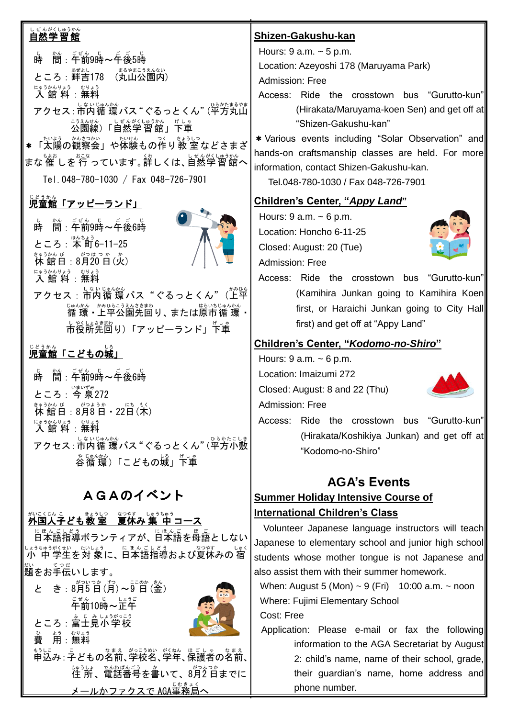# しぜんがくしゅうかん<br>**自然学習館**

時 じ 間 かん :午前 ごぜん 9時 じ ~午後 ご ご 5時 じ ところ : 畔吉178 (丸山公園内) 入 館 料 にゅうかんりょう :無料 むりょう アクセス : 市内循 環バス "ぐるっとくん" (平方丸山 <u>こうえんせん しょぜんがくしゅうかん げしゃ</u><br>公園線)「自然学習館」下車 ★ 「太陽の観察会」や体験もの作り教 室などさまざ まな催しを行っています。詳しくは、自然学習館へ

Tel.048-780-1030 / Fax 048-726-7901

## 。<br>児童館「アッピーランド」

時 じ 間 かん :午前 ごぜん 9時 じ ~午後 ご ご 6時 じ ところ : <sup>ほんちょう</sup><br>ところ : 本町6−11−25 <u>まゅうかん びって がつはっかっか。</u><br>休館日 : 8月20日(火) 入 館 料 にゅうかんりょう :無料 むりょう



## <u>。。。。</u><br>児童館「こどもの城」

時 じ 間 かん :午前 ごぜん 9時 じ ~午後 ご ご 6時 じ ところ: 今 泉272 <u>まゅうかん びっょうか</u><br>休館日:8月8日・22日(木) にゅ<sup>ぅゕんりょう</sup> むりょう<br>**|入 館 料** :無料 アクセス : 市内循 環バス "ぐるっとくん" (平方小敷 ゃ<sub>じゅんかん</sub><br>谷循 環)「こどもの城」下車

## AGAのイベント

## <sub>がいこくじんこ</sub><br>外国人子ども教 室 夏休み 集 中 コース

に<sub>ほんごしどう</sub><br>日本語指導ボランティアが、日本語を母語としない しょうちゅうがくぜい たいよう<br>ノ小 中 学生を対 象に、日本語指導および夏休みの 宿 <sub>だいしてった</sub>。<br>題をお手伝いします。

| がついつか げつ ここのか きん<br>と き:8月5日(月)~9日(釡) |
|---------------------------------------|
| <sub>ごぜん</sub> じっぽうごう                 |
| ところ:富士見小学校                            |
| ょぅ むりょう<br>用:無料<br>番                  |
|                                       |
|                                       |

<u><br>メールかファクスで AGA事務局へ</u>

#### **Shizen-Gakushu-kan**

Hours: 9 a.m. ~ 5 p.m.

Location: Azeyoshi 178 (Maruyama Park) Admission: Free

Access: Ride the crosstown bus "Gurutto-kun" (Hirakata/Maruyama-koen Sen) and get off at "Shizen-Gakushu-kan"

\*Various events including "Solar Observation" and hands-on craftsmanship classes are held. For more information, contact Shizen-Gakushu-kan.

Tel.048-780-1030 / Fax 048-726-7901

#### **Children's Center, "***Appy Land***"**

Hours:  $9$  a.m.  $\sim 6$  p.m. Location: Honcho 6-11-25 Closed: August: 20 (Tue) Admission: Free



Access: Ride the crosstown bus "Gurutto-kun" (Kamihira Junkan going to Kamihira Koen first, or Haraichi Junkan going to City Hall first) and get off at "Appy Land"

#### **Children's Center, "***Kodomo-no-Shiro***"**

Hours:  $9$  a.m.  $\sim 6$  p.m.

Location: Imaizumi 272

Closed: August: 8 and 22 (Thu)

Admission: Free



Access: Ride the crosstown bus "Gurutto-kun" (Hirakata/Koshikiya Junkan) and get off at "Kodomo-no-Shiro"

### **AGA's Events**

### **Summer Holiday Intensive Course of International Children's Class**

Volunteer Japanese language instructors will teach Japanese to elementary school and junior high school students whose mother tongue is not Japanese and also assist them with their summer homework.

When: August 5 (Mon)  $\sim$  9 (Fri) 10:00 a.m.  $\sim$  noon Where: Fujimi Elementary School

Cost: Free

Application: Please e-mail or fax the following information to the AGA Secretariat by August 2: child's name, name of their school, grade, their guardian's name, home address and phone number.